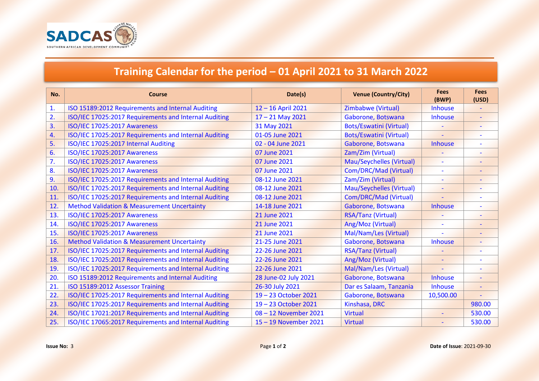

## **Training Calendar for the period – 01 April 2021 to 31 March 2022**

| No.              | <b>Course</b>                                          | Date(s)              | <b>Venue (Country/City)</b>     | <b>Fees</b><br>(BWP)     | <b>Fees</b><br>(USD)     |
|------------------|--------------------------------------------------------|----------------------|---------------------------------|--------------------------|--------------------------|
| 1.               | ISO 15189:2012 Requirements and Internal Auditing      | 12-16 April 2021     | Zimbabwe (Virtual)              | <b>Inhouse</b>           |                          |
| $\overline{2}$ . | ISO/IEC 17025:2017 Requirements and Internal Auditing  | $17 - 21$ May 2021   | Gaborone, Botswana              | <b>Inhouse</b>           | $\blacksquare$           |
| $\overline{3}$ . | <b>ISO/IEC 17025:2017 Awareness</b>                    | 31 May 2021          | <b>Bots/Eswatini (Virtual)</b>  |                          | $\overline{\phantom{a}}$ |
| 4.               | ISO/IEC 17025:2017 Requirements and Internal Auditing  | 01-05 June 2021      | <b>Bots/Eswatini (Virtual)</b>  | $\overline{\phantom{a}}$ | $\overline{\phantom{a}}$ |
| 5.               | ISO/IEC 17025:2017 Internal Auditing                   | 02 - 04 June 2021    | Gaborone, Botswana              | <b>Inhouse</b>           |                          |
| 6.               | <b>ISO/IEC 17025:2017 Awareness</b>                    | 07 June 2021         | Zam/Zim (Virtual)               |                          |                          |
| 7.               | <b>ISO/IEC 17025:2017 Awareness</b>                    | 07 June 2021         | <b>Mau/Seychelles (Virtual)</b> |                          |                          |
| 8.               | <b>ISO/IEC 17025:2017 Awareness</b>                    | 07 June 2021         | Com/DRC/Mad (Virtual)           | $\sim$                   | $\overline{\phantom{a}}$ |
| 9.               | ISO/IEC 17025:2017 Requirements and Internal Auditing  | 08-12 June 2021      | Zam/Zim (Virtual)               | $\overline{\phantom{a}}$ | $\overline{\phantom{a}}$ |
| 10.              | ISO/IEC 17025:2017 Requirements and Internal Auditing  | 08-12 June 2021      | <b>Mau/Seychelles (Virtual)</b> |                          |                          |
| 11.              | ISO/IEC 17025:2017 Requirements and Internal Auditing  | 08-12 June 2021      | Com/DRC/Mad (Virtual)           | $\overline{\phantom{a}}$ |                          |
| 12.              | <b>Method Validation &amp; Measurement Uncertainty</b> | 14-18 June 2021      | Gaborone, Botswana              | <b>Inhouse</b>           |                          |
| 13.              | <b>ISO/IEC 17025:2017 Awareness</b>                    | 21 June 2021         | <b>RSA/Tanz (Virtual)</b>       |                          | $\overline{\phantom{a}}$ |
| 14.              | <b>ISO/IEC 17025:2017 Awareness</b>                    | 21 June 2021         | Ang/Moz (Virtual)               |                          |                          |
| 15.              | <b>ISO/IEC 17025:2017 Awareness</b>                    | 21 June 2021         | Mal/Nam/Les (Virtual)           |                          |                          |
| 16.              | <b>Method Validation &amp; Measurement Uncertainty</b> | 21-25 June 2021      | Gaborone, Botswana              | <b>Inhouse</b>           | $\overline{\phantom{a}}$ |
| 17.              | ISO/IEC 17025:2017 Requirements and Internal Auditing  | 22-26 June 2021      | <b>RSA/Tanz (Virtual)</b>       |                          |                          |
| 18.              | ISO/IEC 17025:2017 Requirements and Internal Auditing  | 22-26 June 2021      | Ang/Moz (Virtual)               | $\overline{\phantom{a}}$ |                          |
| 19.              | ISO/IEC 17025:2017 Requirements and Internal Auditing  | 22-26 June 2021      | Mal/Nam/Les (Virtual)           |                          |                          |
| 20.              | ISO 15189:2012 Requirements and Internal Auditing      | 28 June-02 July 2021 | Gaborone, Botswana              | <b>Inhouse</b>           | $\overline{\phantom{a}}$ |
| 21.              | ISO 15189:2012 Assessor Training                       | 26-30 July 2021      | Dar es Salaam, Tanzania         | <b>Inhouse</b>           | $\blacksquare$           |
| 22.              | ISO/IEC 17025:2017 Requirements and Internal Auditing  | 19-23 October 2021   | Gaborone, Botswana              | 10,500.00                |                          |
| 23.              | ISO/IEC 17025:2017 Requirements and Internal Auditing  | 19-23 October 2021   | Kinshasa, DRC                   |                          | 980.00                   |
| 24.              | ISO/IEC 17021:2017 Requirements and Internal Auditing  | 08-12 November 2021  | <b>Virtual</b>                  | $\blacksquare$           | 530.00                   |
| 25.              | ISO/IEC 17065:2017 Requirements and Internal Auditing  | 15-19 November 2021  | <b>Virtual</b>                  |                          | 530.00                   |